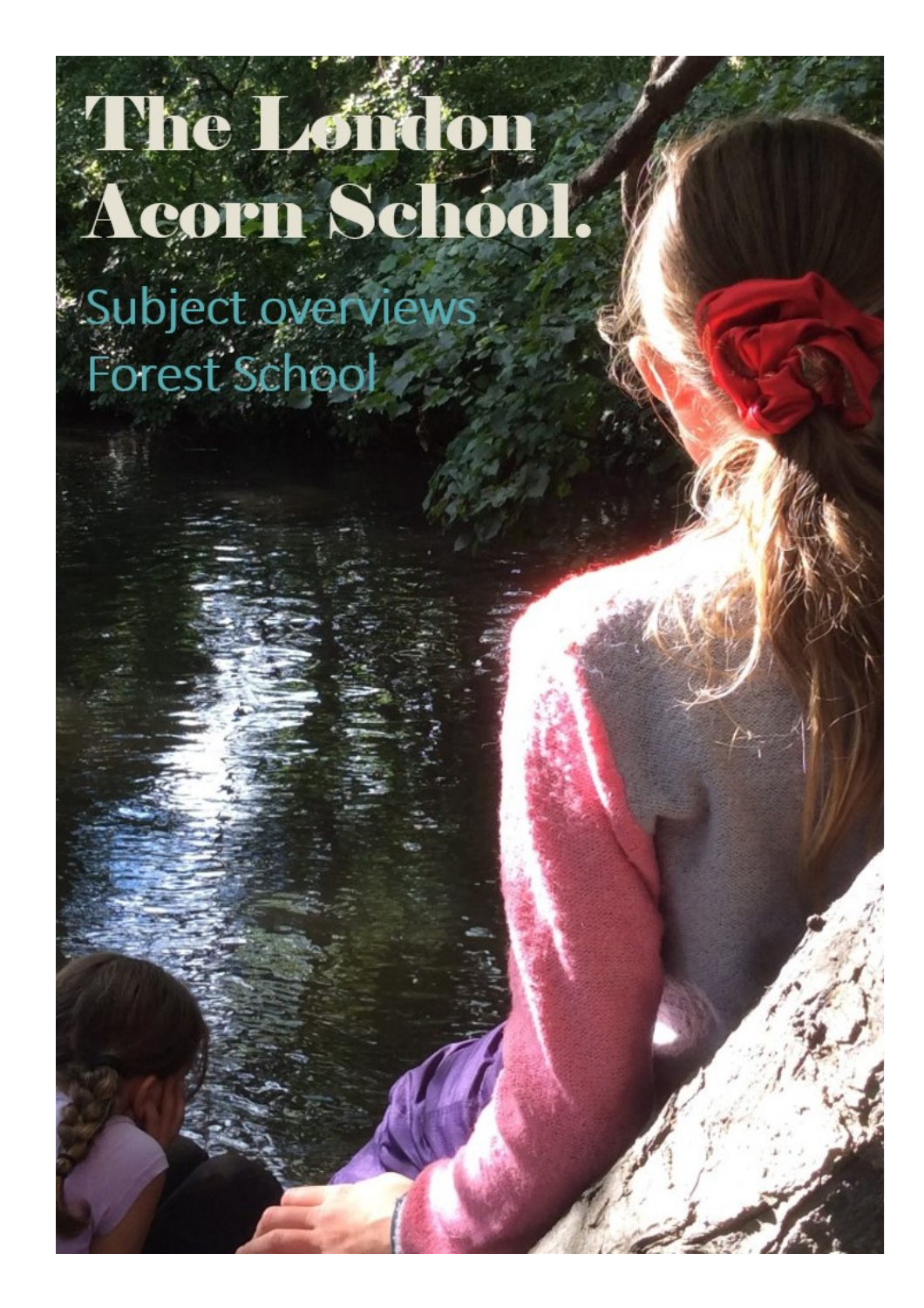## The London Acorn School.<br>Subject overviews

Forest School